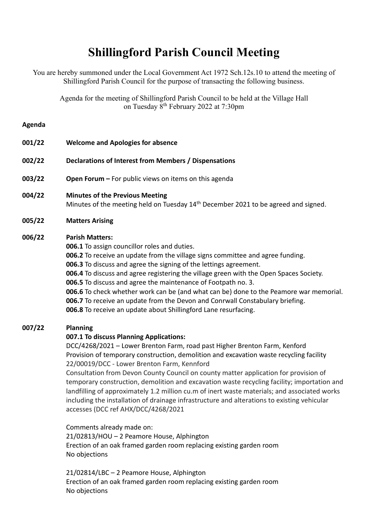# **Shillingford Parish Council Meeting**

You are hereby summoned under the Local Government Act 1972 Sch.12s.10 to attend the meeting of Shillingford Parish Council for the purpose of transacting the following business.

Agenda for the meeting of Shillingford Parish Council to be held at the Village Hall on Tuesday 8<sup>th</sup> February 2022 at 7:30pm

#### **Agenda**

- **001/22 Welcome and Apologies for absence**
- **002/22 Declarations of Interest from Members / Dispensations**
- **003/22 Open Forum –** For public views on items on this agenda

#### **004/22 Minutes of the Previous Meeting**

Minutes of the meeting held on Tuesday 14<sup>th</sup> December 2021 to be agreed and signed.

### **005/22 Matters Arising**

### **006/22 Parish Matters:**

**006.1** To assign councillor roles and duties. **006.2** To receive an update from the village signs committee and agree funding. **006.3** To discuss and agree the signing of the lettings agreement. **006.4** To discuss and agree registering the village green with the Open Spaces Society. **006.5** To discuss and agree the maintenance of Footpath no. 3.

- **006.6** To check whether work can be (and what can be) done to the Peamore war memorial. **006.7** To receive an update from the Devon and Conrwall Constabulary briefing.
- **006.8** To receive an update about Shillingford Lane resurfacing.

# **007/22 Planning**

# **007.1 To discuss Planning Applications:**

DCC/4268/2021 – Lower Brenton Farm, road past Higher Brenton Farm, Kenford Provision of temporary construction, demolition and excavation waste recycling facility 22/00019/DCC - Lower Brenton Farm, Kennford

Consultation from Devon County Council on county matter application for provision of temporary construction, demolition and excavation waste recycling facility; importation and landfilling of approximately 1.2 million cu.m of inert waste materials; and associated works including the installation of drainage infrastructure and alterations to existing vehicular accesses (DCC ref AHX/DCC/4268/2021

Comments already made on: 21/02813/HOU – 2 Peamore House, Alphington Erection of an oak framed garden room replacing existing garden room No objections

21/02814/LBC – 2 Peamore House, Alphington Erection of an oak framed garden room replacing existing garden room No objections